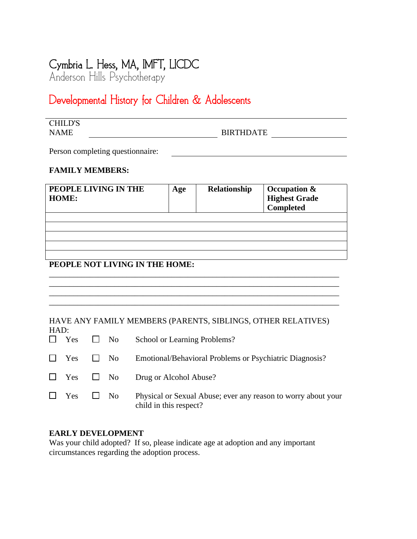# Cymbria L. Hess, MA, IMFT, LICDC

Anderson Hills Psychotherapy

# Developmental History for Children & Adolescents

| <b>CHILD'S</b> |                  |  |
|----------------|------------------|--|
| <b>NAME</b>    | <b>BIRTHDATE</b> |  |

Person completing questionnaire:

# **FAMILY MEMBERS:**

| PEOPLE LIVING IN THE<br><b>HOME:</b> | Age | Relationship | Occupation &<br><b>Highest Grade</b><br>Completed |
|--------------------------------------|-----|--------------|---------------------------------------------------|
|                                      |     |              |                                                   |
|                                      |     |              |                                                   |
|                                      |     |              |                                                   |
|                                      |     |              |                                                   |
|                                      |     |              |                                                   |

\_\_\_\_\_\_\_\_\_\_\_\_\_\_\_\_\_\_\_\_\_\_\_\_\_\_\_\_\_\_\_\_\_\_\_\_\_\_\_\_\_\_\_\_\_\_\_\_\_\_\_\_\_\_\_\_\_\_\_\_\_\_\_\_\_\_\_\_\_\_\_

\_\_\_\_\_\_\_\_\_\_\_\_\_\_\_\_\_\_\_\_\_\_\_\_\_\_\_\_\_\_\_\_\_\_\_\_\_\_\_\_\_\_\_\_\_\_\_\_\_\_\_\_\_\_\_\_\_\_\_\_\_\_\_\_\_\_\_\_\_\_\_

<u> 1980 - Johann Barbara, martxa alemaniar a</u>

# **PEOPLE NOT LIVING IN THE HOME:**

#### HAVE ANY FAMILY MEMBERS (PARENTS, SIBLINGS, OTHER RELATIVES) HAD:

|                      | $\Box$ Yes $\Box$ No | School or Learning Problems?                                                            |
|----------------------|----------------------|-----------------------------------------------------------------------------------------|
|                      |                      | $\Box$ Yes $\Box$ No Emotional/Behavioral Problems or Psychiatric Diagnosis?            |
|                      |                      | $\Box$ Yes $\Box$ No Drug or Alcohol Abuse?                                             |
| $\Box$ Yes $\Box$ No |                      | Physical or Sexual Abuse; ever any reason to worry about your<br>child in this respect? |

### **EARLY DEVELOPMENT**

Was your child adopted? If so, please indicate age at adoption and any important circumstances regarding the adoption process.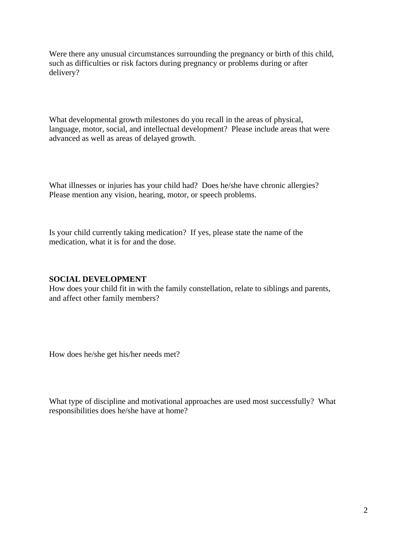Were there any unusual circumstances surrounding the pregnancy or birth of this child, such as difficulties or risk factors during pregnancy or problems during or after delivery?

What developmental growth milestones do you recall in the areas of physical, language, motor, social, and intellectual development? Please include areas that were advanced as well as areas of delayed growth.

What illnesses or injuries has your child had? Does he/she have chronic allergies? Please mention any vision, hearing, motor, or speech problems.

Is your child currently taking medication? If yes, please state the name of the medication, what it is for and the dose.

#### **SOCIAL DEVELOPMENT**

How does your child fit in with the family constellation, relate to siblings and parents, and affect other family members?

How does he/she get his/her needs met?

What type of discipline and motivational approaches are used most successfully? What responsibilities does he/she have at home?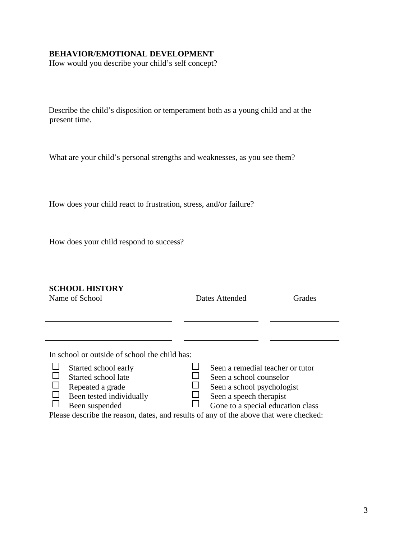### **BEHAVIOR/EMOTIONAL DEVELOPMENT**

How would you describe your child's self concept?

Describe the child's disposition or temperament both as a young child and at the present time.

What are your child's personal strengths and weaknesses, as you see them?

How does your child react to frustration, stress, and/or failure?

How does your child respond to success?

#### **SCHOOL HISTORY**

| Name of School                                                                                                   | Dates Attended |                                                                                           | Grades |  |
|------------------------------------------------------------------------------------------------------------------|----------------|-------------------------------------------------------------------------------------------|--------|--|
|                                                                                                                  |                |                                                                                           |        |  |
| In school or outside of school the child has:<br>Started school early<br>Started school late<br>Repeated a grade |                | Seen a remedial teacher or tutor<br>Seen a school counselor<br>Seen a school psychologist |        |  |
| Been tested individually<br>Been suspended                                                                       |                | Seen a speech therapist<br>Gone to a special education class                              |        |  |

Please describe the reason, dates, and results of any of the above that were checked: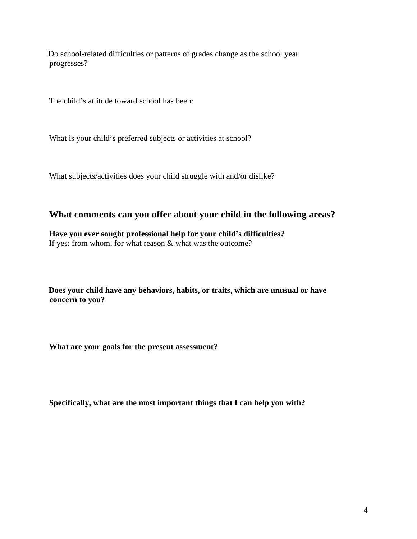Do school-related difficulties or patterns of grades change as the school year progresses?

The child's attitude toward school has been:

What is your child's preferred subjects or activities at school?

What subjects/activities does your child struggle with and/or dislike?

# **What comments can you offer about your child in the following areas?**

**Have you ever sought professional help for your child's difficulties?**  If yes: from whom, for what reason & what was the outcome?

**Does your child have any behaviors, habits, or traits, which are unusual or have concern to you?**

**What are your goals for the present assessment?**

**Specifically, what are the most important things that I can help you with?**